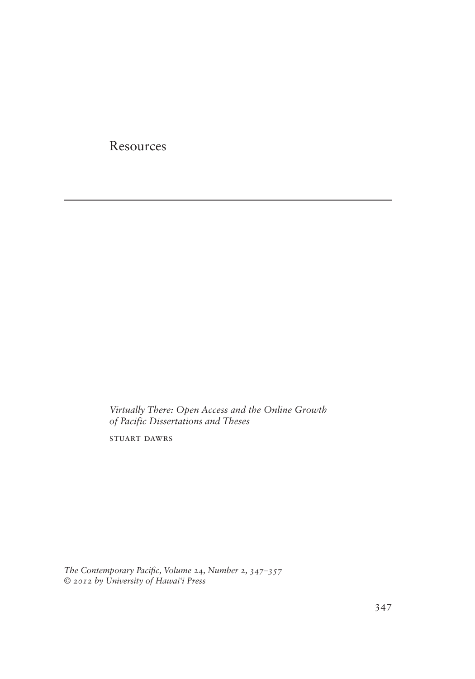**Resources** 

*Virtually There: Open Access and the Online Growth of Pacific Dissertations and Theses*

stuart dawrs

The Contemporary Pacific, Volume 24, Number 2, 347-357 *© 2012 by University of Hawai'i Press*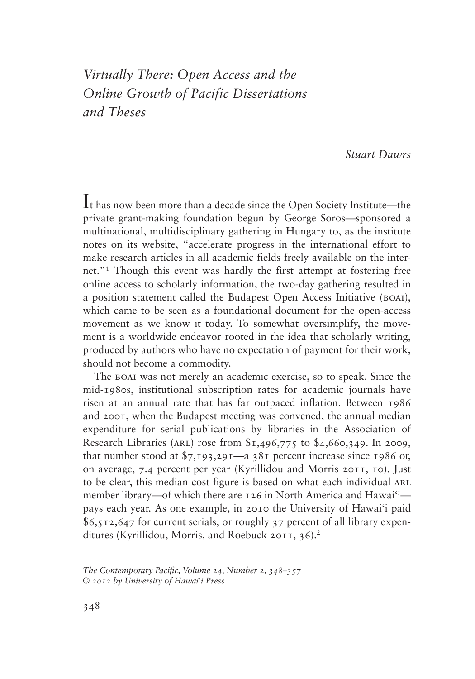*Virtually There: Open Access and the Online Growth of Pacific Dissertations and Theses*

## *Stuart Dawrs*

It has now been more than a decade since the Open Society Institute—the private grant-making foundation begun by George Soros—sponsored a multinational, multidisciplinary gathering in Hungary to, as the institute notes on its website, "accelerate progress in the international effort to make research articles in all academic fields freely available on the internet."1 Though this event was hardly the first attempt at fostering free online access to scholarly information, the two-day gathering resulted in a position statement called the Budapest Open Access Initiative (boai), which came to be seen as a foundational document for the open-access movement as we know it today. To somewhat oversimplify, the movement is a worldwide endeavor rooted in the idea that scholarly writing, produced by authors who have no expectation of payment for their work, should not become a commodity.

The boai was not merely an academic exercise, so to speak. Since the mid-1980s, institutional subscription rates for academic journals have risen at an annual rate that has far outpaced inflation. Between 1986 and 2001, when the Budapest meeting was convened, the annual median expenditure for serial publications by libraries in the Association of Research Libraries (ARL) rose from  $$1,496,775$  to  $$4,660,349$ . In 2009, that number stood at  $\frac{1}{2}$ ,193,291—a 381 percent increase since 1986 or, on average, 7.4 percent per year (Kyrillidou and Morris 2011, 10). Just to be clear, this median cost figure is based on what each individual ARL member library—of which there are 126 in North America and Hawai'i pays each year. As one example, in 2010 the University of Hawai'i paid \$6,512,647 for current serials, or roughly 37 percent of all library expenditures (Kyrillidou, Morris, and Roebuck 2011, 36).<sup>2</sup>

The Contemporary Pacific, Volume 24, Number 2, 348-357 *© 2012 by University of Hawai'i Press*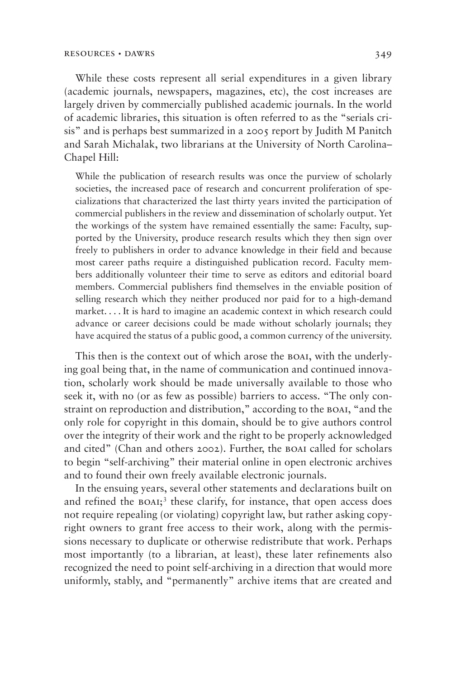While these costs represent all serial expenditures in a given library (academic journals, newspapers, magazines, etc), the cost increases are largely driven by commercially published academic journals. In the world of academic libraries, this situation is often referred to as the "serials crisis" and is perhaps best summarized in a 2005 report by Judith M Panitch and Sarah Michalak, two librarians at the University of North Carolina– Chapel Hill:

While the publication of research results was once the purview of scholarly societies, the increased pace of research and concurrent proliferation of specializations that characterized the last thirty years invited the participation of commercial publishers in the review and dissemination of scholarly output. Yet the workings of the system have remained essentially the same: Faculty, supported by the University, produce research results which they then sign over freely to publishers in order to advance knowledge in their field and because most career paths require a distinguished publication record. Faculty members additionally volunteer their time to serve as editors and editorial board members. Commercial publishers find themselves in the enviable position of selling research which they neither produced nor paid for to a high-demand market. . . . It is hard to imagine an academic context in which research could advance or career decisions could be made without scholarly journals; they have acquired the status of a public good, a common currency of the university.

This then is the context out of which arose the BOAI, with the underlying goal being that, in the name of communication and continued innovation, scholarly work should be made universally available to those who seek it, with no (or as few as possible) barriers to access. "The only constraint on reproduction and distribution," according to the BOAI, "and the only role for copyright in this domain, should be to give authors control over the integrity of their work and the right to be properly acknowledged and cited" (Chan and others 2002). Further, the BOAI called for scholars to begin "self-archiving" their material online in open electronic archives and to found their own freely available electronic journals.

In the ensuing years, several other statements and declarations built on and refined the BOAI;<sup>3</sup> these clarify, for instance, that open access does not require repealing (or violating) copyright law, but rather asking copyright owners to grant free access to their work, along with the permissions necessary to duplicate or otherwise redistribute that work. Perhaps most importantly (to a librarian, at least), these later refinements also recognized the need to point self-archiving in a direction that would more uniformly, stably, and "permanently" archive items that are created and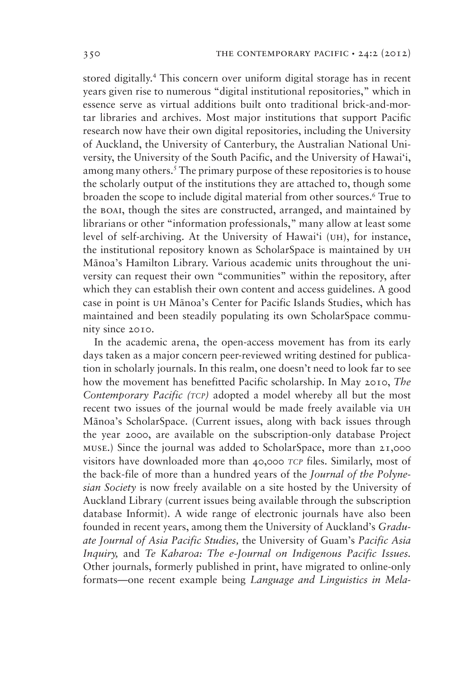stored digitally.4 This concern over uniform digital storage has in recent years given rise to numerous "digital institutional repositories," which in essence serve as virtual additions built onto traditional brick-and-mortar libraries and archives. Most major institutions that support Pacific research now have their own digital repositories, including the University of Auckland, the University of Canterbury, the Australian National University, the University of the South Pacific, and the University of Hawai'i, among many others.<sup>5</sup> The primary purpose of these repositories is to house the scholarly output of the institutions they are attached to, though some broaden the scope to include digital material from other sources.6 True to the BOAI, though the sites are constructed, arranged, and maintained by librarians or other "information professionals," many allow at least some level of self-archiving. At the University of Hawai'i (uh), for instance, the institutional repository known as ScholarSpace is maintained by uh Mānoa's Hamilton Library. Various academic units throughout the university can request their own "communities" within the repository, after which they can establish their own content and access guidelines. A good case in point is uh Mānoa's Center for Pacific Islands Studies, which has maintained and been steadily populating its own ScholarSpace community since 2010.

In the academic arena, the open-access movement has from its early days taken as a major concern peer-reviewed writing destined for publication in scholarly journals. In this realm, one doesn't need to look far to see how the movement has benefitted Pacific scholarship. In May 2010, *The Contemporary Pacific (tcp)* adopted a model whereby all but the most recent two issues of the journal would be made freely available via uh Mānoa's ScholarSpace. (Current issues, along with back issues through the year 2000, are available on the subscription-only database Project muse.) Since the journal was added to ScholarSpace, more than 21,000 visitors have downloaded more than 40,000 *tcp* files. Similarly, most of the back-file of more than a hundred years of the *Journal of the Polynesian Society* is now freely available on a site hosted by the University of Auckland Library (current issues being available through the subscription database Informit). A wide range of electronic journals have also been founded in recent years, among them the University of Auckland's *Graduate Journal of Asia Pacific Studies,* the University of Guam's *Pacific Asia Inquiry,* and *Te Kaharoa: The e-Journal on Indigenous Pacific Issues.* Other journals, formerly published in print, have migrated to online-only formats—one recent example being *Language and Linguistics in Mela-*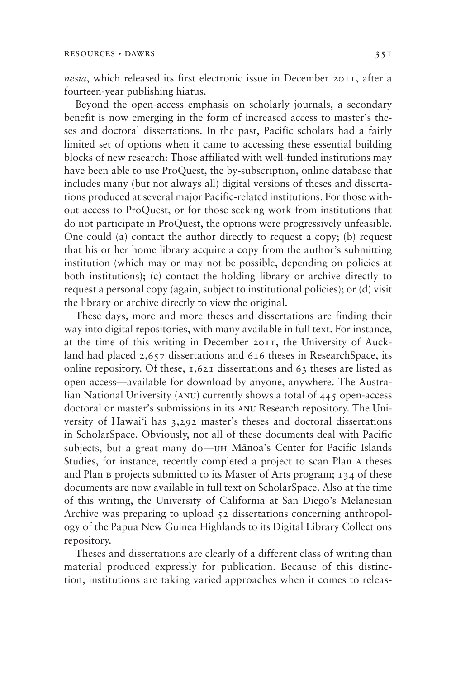*nesia*, which released its first electronic issue in December 2011, after a fourteen-year publishing hiatus.

Beyond the open-access emphasis on scholarly journals, a secondary benefit is now emerging in the form of increased access to master's theses and doctoral dissertations. In the past, Pacific scholars had a fairly limited set of options when it came to accessing these essential building blocks of new research: Those affiliated with well-funded institutions may have been able to use ProQuest, the by-subscription, online database that includes many (but not always all) digital versions of theses and dissertations produced at several major Pacific-related institutions. For those without access to ProQuest, or for those seeking work from institutions that do not participate in ProQuest, the options were progressively unfeasible. One could (a) contact the author directly to request a copy; (b) request that his or her home library acquire a copy from the author's submitting institution (which may or may not be possible, depending on policies at both institutions); (c) contact the holding library or archive directly to request a personal copy (again, subject to institutional policies); or (d) visit the library or archive directly to view the original.

These days, more and more theses and dissertations are finding their way into digital repositories, with many available in full text. For instance, at the time of this writing in December 2011, the University of Auckland had placed 2,657 dissertations and 616 theses in ResearchSpace, its online repository. Of these, 1,621 dissertations and 63 theses are listed as open access—available for download by anyone, anywhere. The Australian National University (anu) currently shows a total of 445 open-access doctoral or master's submissions in its anu Research repository. The University of Hawai'i has 3,292 master's theses and doctoral dissertations in ScholarSpace. Obviously, not all of these documents deal with Pacific subjects, but a great many do—uh Mānoa's Center for Pacific Islands Studies, for instance, recently completed a project to scan Plan a theses and Plan b projects submitted to its Master of Arts program; 134 of these documents are now available in full text on ScholarSpace. Also at the time of this writing, the University of California at San Diego's Melanesian Archive was preparing to upload 52 dissertations concerning anthropology of the Papua New Guinea Highlands to its Digital Library Collections repository.

Theses and dissertations are clearly of a different class of writing than material produced expressly for publication. Because of this distinction, institutions are taking varied approaches when it comes to releas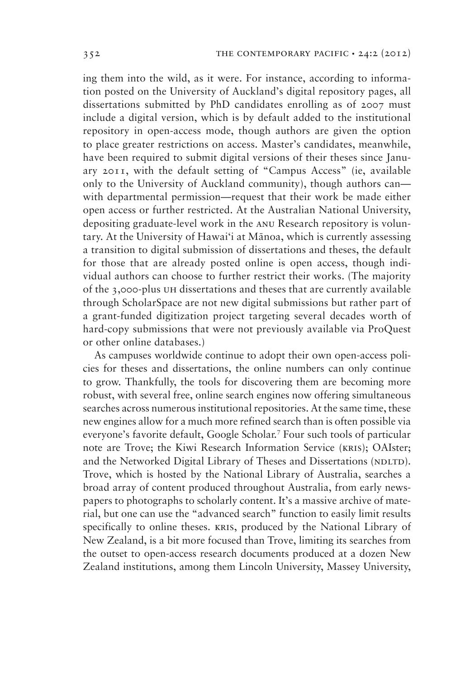ing them into the wild, as it were. For instance, according to information posted on the University of Auckland's digital repository pages, all dissertations submitted by PhD candidates enrolling as of 2007 must include a digital version, which is by default added to the institutional repository in open-access mode, though authors are given the option to place greater restrictions on access. Master's candidates, meanwhile, have been required to submit digital versions of their theses since January 2011, with the default setting of "Campus Access" (ie, available only to the University of Auckland community), though authors can with departmental permission—request that their work be made either open access or further restricted. At the Australian National University, depositing graduate-level work in the anu Research repository is voluntary. At the University of Hawai'i at Mānoa, which is currently assessing a transition to digital submission of dissertations and theses, the default for those that are already posted online is open access, though individual authors can choose to further restrict their works. (The majority of the 3,000-plus uh dissertations and theses that are currently available through ScholarSpace are not new digital submissions but rather part of a grant-funded digitization project targeting several decades worth of hard-copy submissions that were not previously available via ProQuest or other online databases.)

As campuses worldwide continue to adopt their own open-access policies for theses and dissertations, the online numbers can only continue to grow. Thankfully, the tools for discovering them are becoming more robust, with several free, online search engines now offering simultaneous searches across numerous institutional repositories. At the same time, these new engines allow for a much more refined search than is often possible via everyone's favorite default, Google Scholar.7 Four such tools of particular note are Trove; the Kiwi Research Information Service (KRIS); OAIster; and the Networked Digital Library of Theses and Dissertations (NDLTD). Trove, which is hosted by the National Library of Australia, searches a broad array of content produced throughout Australia, from early newspapers to photographs to scholarly content. It's a massive archive of material, but one can use the "advanced search" function to easily limit results specifically to online theses. kris, produced by the National Library of New Zealand, is a bit more focused than Trove, limiting its searches from the outset to open-access research documents produced at a dozen New Zealand institutions, among them Lincoln University, Massey University,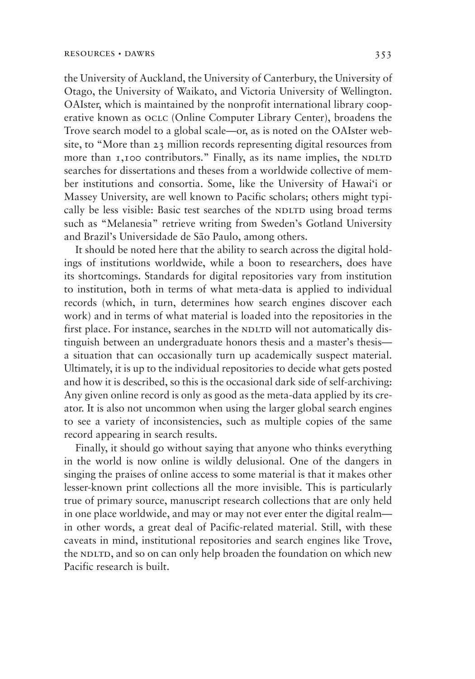the University of Auckland, the University of Canterbury, the University of Otago, the University of Waikato, and Victoria University of Wellington. OAIster, which is maintained by the nonprofit international library cooperative known as oclc (Online Computer Library Center), broadens the Trove search model to a global scale—or, as is noted on the OAIster website, to "More than 23 million records representing digital resources from more than 1,100 contributors." Finally, as its name implies, the NDLTD searches for dissertations and theses from a worldwide collective of member institutions and consortia. Some, like the University of Hawai'i or Massey University, are well known to Pacific scholars; others might typically be less visible: Basic test searches of the NDLTD using broad terms such as "Melanesia" retrieve writing from Sweden's Gotland University and Brazil's Universidade de São Paulo, among others.

It should be noted here that the ability to search across the digital holdings of institutions worldwide, while a boon to researchers, does have its shortcomings. Standards for digital repositories vary from institution to institution, both in terms of what meta-data is applied to individual records (which, in turn, determines how search engines discover each work) and in terms of what material is loaded into the repositories in the first place. For instance, searches in the NDLTD will not automatically distinguish between an undergraduate honors thesis and a master's thesis a situation that can occasionally turn up academically suspect material. Ultimately, it is up to the individual repositories to decide what gets posted and how it is described, so this is the occasional dark side of self-archiving: Any given online record is only as good as the meta-data applied by its creator. It is also not uncommon when using the larger global search engines to see a variety of inconsistencies, such as multiple copies of the same record appearing in search results.

Finally, it should go without saying that anyone who thinks everything in the world is now online is wildly delusional. One of the dangers in singing the praises of online access to some material is that it makes other lesser-known print collections all the more invisible. This is particularly true of primary source, manuscript research collections that are only held in one place worldwide, and may or may not ever enter the digital realm in other words, a great deal of Pacific-related material. Still, with these caveats in mind, institutional repositories and search engines like Trove, the NDLTD, and so on can only help broaden the foundation on which new Pacific research is built.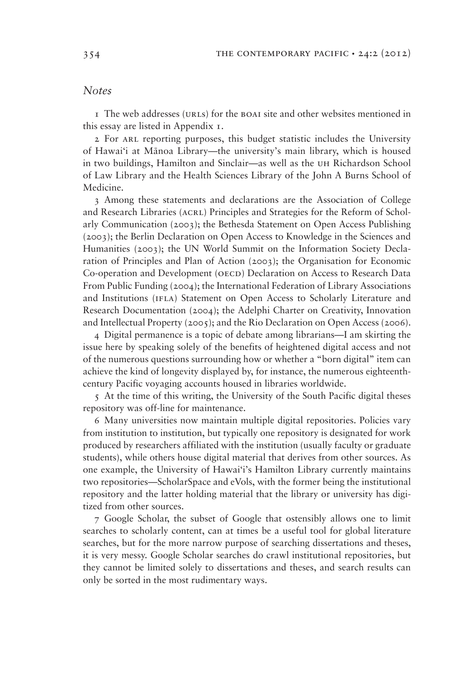## *Notes*

1 The web addresses (urls) for the boai site and other websites mentioned in this essay are listed in Appendix 1.

2 For arl reporting purposes, this budget statistic includes the University of Hawai'i at Mānoa Library—the university's main library, which is housed in two buildings, Hamilton and Sinclair—as well as the uh Richardson School of Law Library and the Health Sciences Library of the John A Burns School of Medicine.

3 Among these statements and declarations are the Association of College and Research Libraries (ACRL) Principles and Strategies for the Reform of Scholarly Communication (2003); the Bethesda Statement on Open Access Publishing (2003); the Berlin Declaration on Open Access to Knowledge in the Sciences and Humanities (2003); the UN World Summit on the Information Society Declaration of Principles and Plan of Action (2003); the Organisation for Economic Co-operation and Development (OECD) Declaration on Access to Research Data From Public Funding (2004); the International Federation of Library Associations and Institutions (IFLA) Statement on Open Access to Scholarly Literature and Research Documentation (2004); the Adelphi Charter on Creativity, Innovation and Intellectual Property (2005); and the Rio Declaration on Open Access (2006).

4 Digital permanence is a topic of debate among librarians—I am skirting the issue here by speaking solely of the benefits of heightened digital access and not of the numerous questions surrounding how or whether a "born digital" item can achieve the kind of longevity displayed by, for instance, the numerous eighteenthcentury Pacific voyaging accounts housed in libraries worldwide.

5 At the time of this writing, the University of the South Pacific digital theses repository was off-line for maintenance.

6 Many universities now maintain multiple digital repositories. Policies vary from institution to institution, but typically one repository is designated for work produced by researchers affiliated with the institution (usually faculty or graduate students), while others house digital material that derives from other sources. As one example, the University of Hawai'i's Hamilton Library currently maintains two repositories—ScholarSpace and eVols, with the former being the institutional repository and the latter holding material that the library or university has digitized from other sources.

7 Google Scholar, the subset of Google that ostensibly allows one to limit searches to scholarly content, can at times be a useful tool for global literature searches, but for the more narrow purpose of searching dissertations and theses, it is very messy. Google Scholar searches do crawl institutional repositories, but they cannot be limited solely to dissertations and theses, and search results can only be sorted in the most rudimentary ways.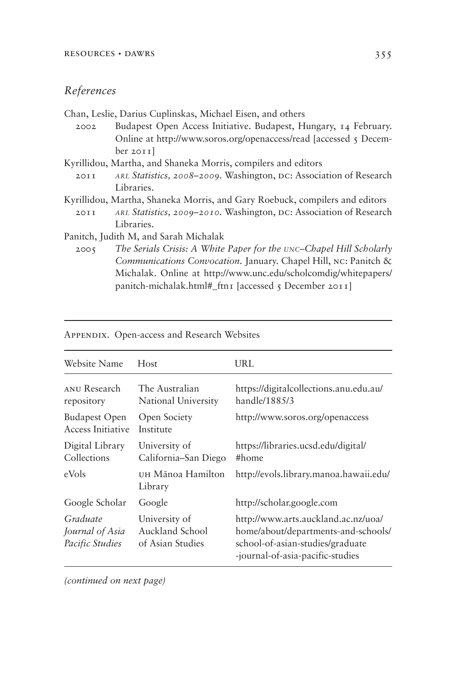## *References*

|                                                                             | Chan, Leslie, Darius Cuplinskas, Michael Eisen, and others          |  |  |
|-----------------------------------------------------------------------------|---------------------------------------------------------------------|--|--|
| 2002                                                                        | Budapest Open Access Initiative. Budapest, Hungary, 14 February.    |  |  |
|                                                                             | Online at http://www.soros.org/openaccess/read [accessed 5 Decem-   |  |  |
|                                                                             | ber 2011]                                                           |  |  |
|                                                                             | Kyrillidou, Martha, and Shaneka Morris, compilers and editors       |  |  |
| 20II                                                                        | ARL Statistics, 2008-2009. Washington, DC: Association of Research  |  |  |
|                                                                             | Libraries.                                                          |  |  |
| Kyrillidou, Martha, Shaneka Morris, and Gary Roebuck, compilers and editors |                                                                     |  |  |
| 20II                                                                        | ARL Statistics, 2009-2010. Washington, DC: Association of Research  |  |  |
|                                                                             | Libraries.                                                          |  |  |
|                                                                             | Panitch, Judith M, and Sarah Michalak                               |  |  |
| 2005                                                                        | The Serials Crisis: A White Paper for the UNC–Chapel Hill Scholarly |  |  |
|                                                                             | Communications Convocation. January. Chapel Hill, NC: Panitch &     |  |  |

*Communications Convocation.* January. Chapel Hill, nc: Panitch & Michalak. Online at http://www.unc.edu/scholcomdig/whitepapers/ panitch-michalak.html#\_ftn1 [accessed 5 December 2011]

| Website Name                                   | Host                                                        | URL                                                                                                                                                |
|------------------------------------------------|-------------------------------------------------------------|----------------------------------------------------------------------------------------------------------------------------------------------------|
| ANU Research<br>repository                     | The Australian<br>National University                       | https://digitalcollections.anu.edu.au/<br>handle/1885/3                                                                                            |
| <b>Budapest Open</b><br>Access Initiative      | Open Society<br>Institute                                   | http://www.soros.org/openaccess                                                                                                                    |
| Digital Library<br>Collections                 | University of<br>California-San Diego                       | https://libraries.ucsd.edu/digital/<br>#home                                                                                                       |
| eVols                                          | UH Mānoa Hamilton<br>Library                                | http://evols.library.manoa.hawaii.edu/                                                                                                             |
| Google Scholar                                 | Google                                                      | http://scholar.google.com                                                                                                                          |
| Graduate<br>Journal of Asia<br>Pacific Studies | University of<br><b>Auckland School</b><br>of Asian Studies | http://www.arts.auckland.ac.nz/uoa/<br>home/about/departments-and-schools/<br>school-of-asian-studies/graduate<br>-journal-of-asia-pacific-studies |

APPENDIX. Open-access and Research Websites

*(continued on next page)*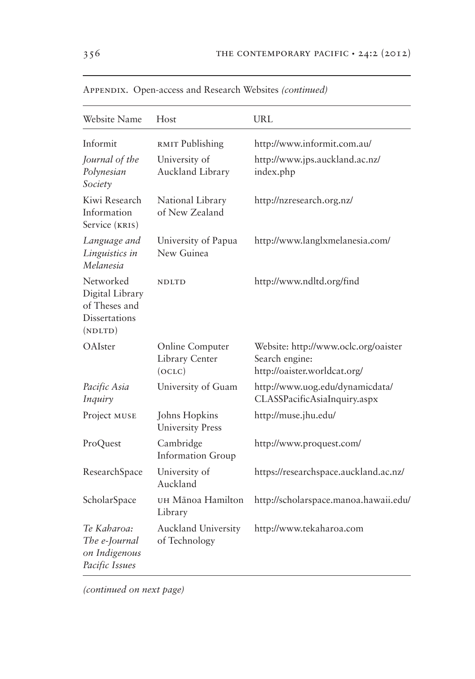| Website Name                                                                     | Host                                                            | <b>URL</b>                                                                             |
|----------------------------------------------------------------------------------|-----------------------------------------------------------------|----------------------------------------------------------------------------------------|
| Informit                                                                         | RMIT Publishing                                                 | http://www.informit.com.au/                                                            |
| Journal of the<br>Polynesian<br>Society                                          | University of<br>Auckland Library                               | http://www.jps.auckland.ac.nz/<br>index.php                                            |
| Kiwi Research<br>Information<br>Service (KRIS)                                   | National Library<br>of New Zealand                              | http://nzresearch.org.nz/                                                              |
| Language and<br>Linguistics in<br>Melanesia                                      | University of Papua<br>New Guinea                               | http://www.langlxmelanesia.com/                                                        |
| Networked<br>Digital Library<br>of Theses and<br><b>Dissertations</b><br>(NDLTD) | <b>NDLTD</b>                                                    | http://www.ndltd.org/find                                                              |
| OAIster                                                                          | <b>Online Computer</b><br>Library Center<br>(oc <sub>LC</sub> ) | Website: http://www.oclc.org/oaister<br>Search engine:<br>http://oaister.worldcat.org/ |
| Pacific Asia<br>Inquiry                                                          | University of Guam                                              | http://www.uog.edu/dynamicdata/<br>CLASSPacificAsiaInquiry.aspx                        |
| Project MUSE                                                                     | Johns Hopkins<br><b>University Press</b>                        | http://muse.jhu.edu/                                                                   |
| ProQuest                                                                         | Cambridge<br><b>Information Group</b>                           | http://www.proquest.com/                                                               |
| ResearchSpace                                                                    | University of<br>Auckland                                       | https://researchspace.auckland.ac.nz/                                                  |
| ScholarSpace                                                                     | UH Mānoa Hamilton<br>Library                                    | http://scholarspace.manoa.hawaii.edu/                                                  |
| Te Kaharoa:<br>The e-Journal<br>on Indigenous<br>Pacific Issues                  | <b>Auckland University</b><br>of Technology                     | http://www.tekaharoa.com                                                               |

Appendix. Open-access and Research Websites *(continued)*

*(continued on next page)*